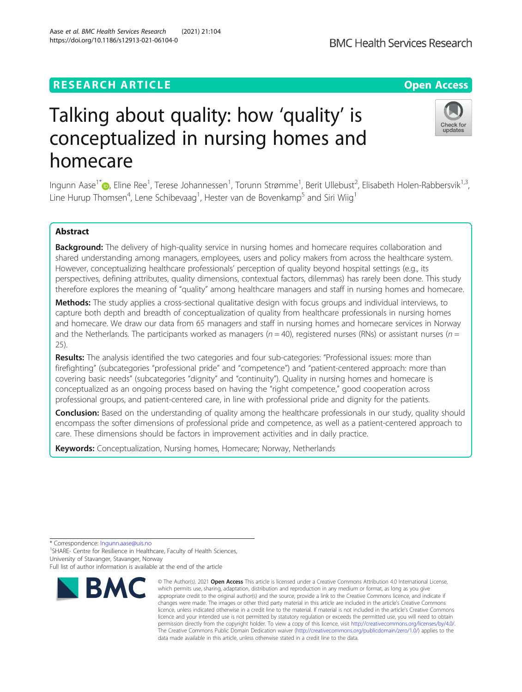## **RESEARCH ARTICLE Example 2014 12:30 The Contract of Contract ACCESS**

# Talking about quality: how 'quality' is conceptualized in nursing homes and homecare

Ingunn Aase<sup>1[\\*](http://orcid.org/0000-0002-0243-6436)</sup>D, Eline Ree<sup>1</sup>, Terese Johannessen<sup>1</sup>, Torunn Strømme<sup>1</sup>, Berit Ullebust<sup>2</sup>, Elisabeth Holen-Rabbersvik<sup>1,3</sup>, Line Hurup Thomsen<sup>4</sup>, Lene Schibevaag<sup>1</sup>, Hester van de Bovenkamp<sup>5</sup> and Siri Wiig<sup>1</sup>

## Abstract

Background: The delivery of high-quality service in nursing homes and homecare requires collaboration and shared understanding among managers, employees, users and policy makers from across the healthcare system. However, conceptualizing healthcare professionals' perception of quality beyond hospital settings (e.g., its perspectives, defining attributes, quality dimensions, contextual factors, dilemmas) has rarely been done. This study therefore explores the meaning of "quality" among healthcare managers and staff in nursing homes and homecare.

Methods: The study applies a cross-sectional qualitative design with focus groups and individual interviews, to capture both depth and breadth of conceptualization of quality from healthcare professionals in nursing homes and homecare. We draw our data from 65 managers and staff in nursing homes and homecare services in Norway and the Netherlands. The participants worked as managers ( $n = 40$ ), registered nurses (RNs) or assistant nurses ( $n =$ 25).

Results: The analysis identified the two categories and four sub-categories: "Professional issues: more than firefighting" (subcategories "professional pride" and "competence") and "patient-centered approach: more than covering basic needs" (subcategories "dignity" and "continuity"). Quality in nursing homes and homecare is conceptualized as an ongoing process based on having the "right competence," good cooperation across professional groups, and patient-centered care, in line with professional pride and dignity for the patients.

**Conclusion:** Based on the understanding of quality among the healthcare professionals in our study, quality should encompass the softer dimensions of professional pride and competence, as well as a patient-centered approach to care. These dimensions should be factors in improvement activities and in daily practice.

> © The Author(s), 2021 **Open Access** This article is licensed under a Creative Commons Attribution 4.0 International License, which permits use, sharing, adaptation, distribution and reproduction in any medium or format, as long as you give

Keywords: Conceptualization, Nursing homes, Homecare; Norway, Netherlands

\* Correspondence: [Ingunn.aase@uis.no](mailto:Ingunn.aase@uis.no) <sup>1</sup>

**BMC** 

<sup>1</sup>SHARE- Centre for Resilience in Healthcare, Faculty of Health Sciences, University of Stavanger, Stavanger, Norway

Full list of author information is available at the end of the article



data made available in this article, unless otherwise stated in a credit line to the data.



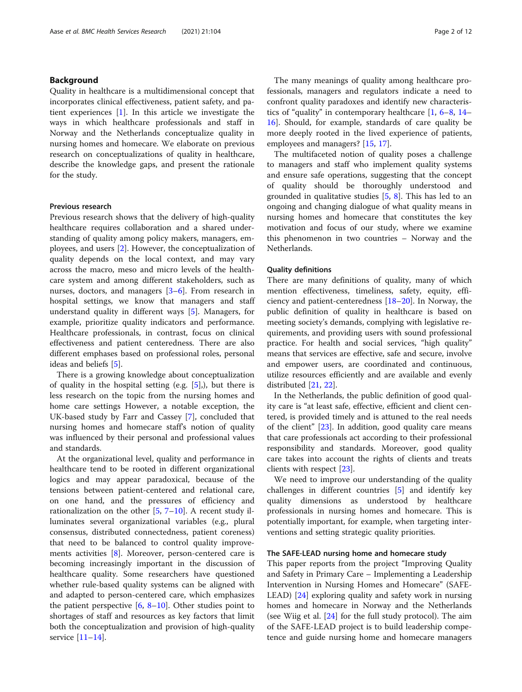## Background

Quality in healthcare is a multidimensional concept that incorporates clinical effectiveness, patient safety, and patient experiences [[1\]](#page-10-0). In this article we investigate the ways in which healthcare professionals and staff in Norway and the Netherlands conceptualize quality in nursing homes and homecare. We elaborate on previous research on conceptualizations of quality in healthcare, describe the knowledge gaps, and present the rationale for the study.

## Previous research

Previous research shows that the delivery of high-quality healthcare requires collaboration and a shared understanding of quality among policy makers, managers, employees, and users [[2\]](#page-10-0). However, the conceptualization of quality depends on the local context, and may vary across the macro, meso and micro levels of the healthcare system and among different stakeholders, such as nurses, doctors, and managers [\[3](#page-10-0)–[6](#page-10-0)]. From research in hospital settings, we know that managers and staff understand quality in different ways [[5\]](#page-10-0). Managers, for example, prioritize quality indicators and performance. Healthcare professionals, in contrast, focus on clinical effectiveness and patient centeredness. There are also different emphases based on professional roles, personal ideas and beliefs [[5\]](#page-10-0).

There is a growing knowledge about conceptualization of quality in the hospital setting (e.g. [\[5](#page-10-0)],), but there is less research on the topic from the nursing homes and home care settings However, a notable exception, the UK-based study by Farr and Cassey [\[7](#page-10-0)], concluded that nursing homes and homecare staff's notion of quality was influenced by their personal and professional values and standards.

At the organizational level, quality and performance in healthcare tend to be rooted in different organizational logics and may appear paradoxical, because of the tensions between patient-centered and relational care, on one hand, and the pressures of efficiency and rationalization on the other  $[5, 7-10]$  $[5, 7-10]$  $[5, 7-10]$  $[5, 7-10]$  $[5, 7-10]$ . A recent study illuminates several organizational variables (e.g., plural consensus, distributed connectedness, patient coreness) that need to be balanced to control quality improvements activities [[8\]](#page-10-0). Moreover, person-centered care is becoming increasingly important in the discussion of healthcare quality. Some researchers have questioned whether rule-based quality systems can be aligned with and adapted to person-centered care, which emphasizes the patient perspective  $[6, 8-10]$  $[6, 8-10]$  $[6, 8-10]$  $[6, 8-10]$  $[6, 8-10]$ . Other studies point to shortages of staff and resources as key factors that limit both the conceptualization and provision of high-quality service [[11](#page-10-0)–[14](#page-10-0)].

The many meanings of quality among healthcare professionals, managers and regulators indicate a need to confront quality paradoxes and identify new characteristics of "quality" in contemporary healthcare [\[1](#page-10-0), [6](#page-10-0)–[8](#page-10-0), [14](#page-10-0)– [16\]](#page-10-0). Should, for example, standards of care quality be more deeply rooted in the lived experience of patients, employees and managers? [[15,](#page-10-0) [17\]](#page-10-0).

The multifaceted notion of quality poses a challenge to managers and staff who implement quality systems and ensure safe operations, suggesting that the concept of quality should be thoroughly understood and grounded in qualitative studies  $[5, 8]$  $[5, 8]$  $[5, 8]$  $[5, 8]$  $[5, 8]$ . This has led to an ongoing and changing dialogue of what quality means in nursing homes and homecare that constitutes the key motivation and focus of our study, where we examine this phenomenon in two countries – Norway and the Netherlands.

## Quality definitions

There are many definitions of quality, many of which mention effectiveness, timeliness, safety, equity, efficiency and patient-centeredness [\[18](#page-10-0)–[20\]](#page-10-0). In Norway, the public definition of quality in healthcare is based on meeting society's demands, complying with legislative requirements, and providing users with sound professional practice. For health and social services, "high quality" means that services are effective, safe and secure, involve and empower users, are coordinated and continuous, utilize resources efficiently and are available and evenly distributed [[21,](#page-10-0) [22\]](#page-10-0).

In the Netherlands, the public definition of good quality care is "at least safe, effective, efficient and client centered, is provided timely and is attuned to the real needs of the client" [[23\]](#page-10-0). In addition, good quality care means that care professionals act according to their professional responsibility and standards. Moreover, good quality care takes into account the rights of clients and treats clients with respect [[23\]](#page-10-0).

We need to improve our understanding of the quality challenges in different countries [[5\]](#page-10-0) and identify key quality dimensions as understood by healthcare professionals in nursing homes and homecare. This is potentially important, for example, when targeting interventions and setting strategic quality priorities.

## The SAFE-LEAD nursing home and homecare study

This paper reports from the project "Improving Quality and Safety in Primary Care – Implementing a Leadership Intervention in Nursing Homes and Homecare" (SAFE-LEAD) [\[24](#page-10-0)] exploring quality and safety work in nursing homes and homecare in Norway and the Netherlands (see Wiig et al. [[24\]](#page-10-0) for the full study protocol). The aim of the SAFE-LEAD project is to build leadership competence and guide nursing home and homecare managers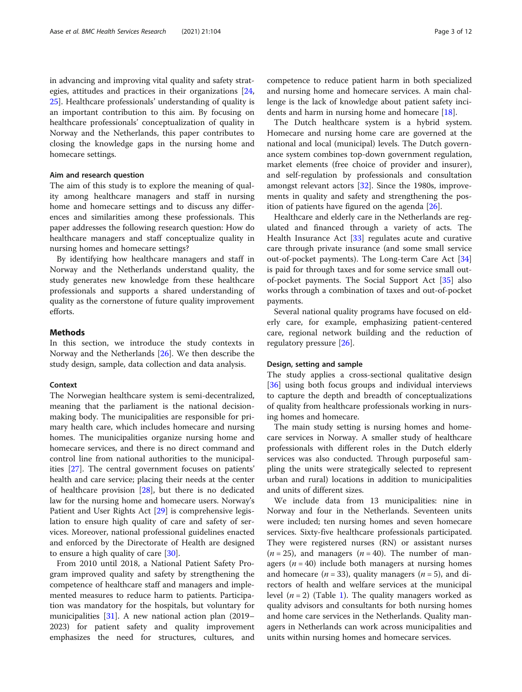in advancing and improving vital quality and safety strategies, attitudes and practices in their organizations [[24](#page-10-0), [25\]](#page-10-0). Healthcare professionals' understanding of quality is an important contribution to this aim. By focusing on healthcare professionals' conceptualization of quality in Norway and the Netherlands, this paper contributes to closing the knowledge gaps in the nursing home and homecare settings.

## Aim and research question

The aim of this study is to explore the meaning of quality among healthcare managers and staff in nursing home and homecare settings and to discuss any differences and similarities among these professionals. This paper addresses the following research question: How do healthcare managers and staff conceptualize quality in nursing homes and homecare settings?

By identifying how healthcare managers and staff in Norway and the Netherlands understand quality, the study generates new knowledge from these healthcare professionals and supports a shared understanding of quality as the cornerstone of future quality improvement efforts.

## Methods

In this section, we introduce the study contexts in Norway and the Netherlands [[26\]](#page-10-0). We then describe the study design, sample, data collection and data analysis.

## Context

The Norwegian healthcare system is semi-decentralized, meaning that the parliament is the national decisionmaking body. The municipalities are responsible for primary health care, which includes homecare and nursing homes. The municipalities organize nursing home and homecare services, and there is no direct command and control line from national authorities to the municipalities [[27\]](#page-10-0). The central government focuses on patients' health and care service; placing their needs at the center of healthcare provision [[28\]](#page-10-0), but there is no dedicated law for the nursing home and homecare users. Norway's Patient and User Rights Act [[29\]](#page-10-0) is comprehensive legislation to ensure high quality of care and safety of services. Moreover, national professional guidelines enacted and enforced by the Directorate of Health are designed to ensure a high quality of care [\[30](#page-10-0)].

From 2010 until 2018, a National Patient Safety Program improved quality and safety by strengthening the competence of healthcare staff and managers and implemented measures to reduce harm to patients. Participation was mandatory for the hospitals, but voluntary for municipalities [\[31](#page-10-0)]. A new national action plan (2019– 2023) for patient safety and quality improvement emphasizes the need for structures, cultures, and

competence to reduce patient harm in both specialized and nursing home and homecare services. A main challenge is the lack of knowledge about patient safety incidents and harm in nursing home and homecare [[18\]](#page-10-0).

The Dutch healthcare system is a hybrid system. Homecare and nursing home care are governed at the national and local (municipal) levels. The Dutch governance system combines top-down government regulation, market elements (free choice of provider and insurer), and self-regulation by professionals and consultation amongst relevant actors [[32\]](#page-10-0). Since the 1980s, improvements in quality and safety and strengthening the position of patients have figured on the agenda [[26](#page-10-0)].

Healthcare and elderly care in the Netherlands are regulated and financed through a variety of acts. The Health Insurance Act [[33\]](#page-10-0) regulates acute and curative care through private insurance (and some small service out-of-pocket payments). The Long-term Care Act [[34](#page-10-0)] is paid for through taxes and for some service small outof-pocket payments. The Social Support Act [[35\]](#page-11-0) also works through a combination of taxes and out-of-pocket payments.

Several national quality programs have focused on elderly care, for example, emphasizing patient-centered care, regional network building and the reduction of regulatory pressure [\[26](#page-10-0)].

## Design, setting and sample

The study applies a cross-sectional qualitative design [[36\]](#page-11-0) using both focus groups and individual interviews to capture the depth and breadth of conceptualizations of quality from healthcare professionals working in nursing homes and homecare.

The main study setting is nursing homes and homecare services in Norway. A smaller study of healthcare professionals with different roles in the Dutch elderly services was also conducted. Through purposeful sampling the units were strategically selected to represent urban and rural) locations in addition to municipalities and units of different sizes.

We include data from 13 municipalities: nine in Norway and four in the Netherlands. Seventeen units were included; ten nursing homes and seven homecare services. Sixty-five healthcare professionals participated. They were registered nurses (RN) or assistant nurses  $(n = 25)$ , and managers  $(n = 40)$ . The number of managers ( $n = 40$ ) include both managers at nursing homes and homecare ( $n = 33$ ), quality managers ( $n = 5$ ), and directors of health and welfare services at the municipal level  $(n = 2)$  (Table [1](#page-3-0)). The quality managers worked as quality advisors and consultants for both nursing homes and home care services in the Netherlands. Quality managers in Netherlands can work across municipalities and units within nursing homes and homecare services.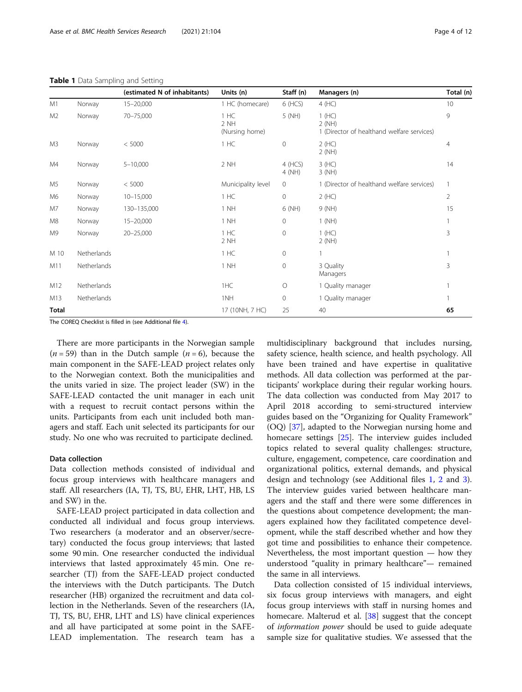#### <span id="page-3-0"></span>Table 1 Data Sampling and Setting

|                |             | (estimated N of inhabitants) | Units (n)                      | Staff (n)         | Managers (n)                                                 | Total (n)      |
|----------------|-------------|------------------------------|--------------------------------|-------------------|--------------------------------------------------------------|----------------|
| M1             | Norway      | $15 - 20,000$                | 1 HC (homecare)                | 6 (HCS)           | 4 (HC)                                                       | 10             |
| M <sub>2</sub> | Norway      | 70-75,000                    | 1 HC<br>2 NH<br>(Nursing home) | 5 (NH)            | 1(HC)<br>2(NH)<br>1 (Director of healthand welfare services) | 9              |
| M3             | Norway      | < 5000                       | 1 HC                           | $\mathbf{0}$      | 2(HC)<br>2 (NH)                                              | 4              |
| M4             | Norway      | $5 - 10,000$                 | 2 NH                           | 4 (HCS)<br>4 (NH) | 3(HC)<br>$3$ (NH)                                            | 14             |
| M <sub>5</sub> | Norway      | < 5000                       | Municipality level             | $\mathbf 0$       | 1 (Director of healthand welfare services)                   | 1              |
| M6             | Norway      | $10 - 15,000$                | 1 HC                           | $\circ$           | 2(HC)                                                        | $\overline{2}$ |
| M7             | Norway      | 130-135,000                  | 1 NH                           | 6 (NH)            | 9 (NH)                                                       | 15             |
| M <sub>8</sub> | Norway      | $15 - 20,000$                | 1 NH                           | $\mathbf 0$       | $1$ (NH)                                                     | 1              |
| M <sub>9</sub> | Norway      | 20-25,000                    | 1 HC<br>2 NH                   | $\mathbf{0}$      | 1(HC)<br>2 (NH)                                              | 3              |
| M 10           | Netherlands |                              | 1 HC                           | $\mathbf{0}$      |                                                              | $\mathbf{1}$   |
| M11            | Netherlands |                              | 1 NH                           | $\mathbf{0}$      | 3 Quality<br>Managers                                        | 3              |
| M12            | Netherlands |                              | 1HC                            | $\circ$           | 1 Quality manager                                            |                |
| M13            | Netherlands |                              | 1NH                            | $\mathbf{0}$      | 1 Quality manager                                            |                |
| Total          |             |                              | 17 (10NH, 7 HC)                | 25                | 40                                                           | 65             |

The COREQ Checklist is filled in (see Additional file [4\)](#page-9-0).

There are more participants in the Norwegian sample  $(n = 59)$  than in the Dutch sample  $(n = 6)$ , because the main component in the SAFE-LEAD project relates only to the Norwegian context. Both the municipalities and the units varied in size. The project leader (SW) in the SAFE-LEAD contacted the unit manager in each unit with a request to recruit contact persons within the units. Participants from each unit included both managers and staff. Each unit selected its participants for our study. No one who was recruited to participate declined.

#### Data collection

Data collection methods consisted of individual and focus group interviews with healthcare managers and staff. All researchers (IA, TJ, TS, BU, EHR, LHT, HB, LS and SW) in the.

SAFE-LEAD project participated in data collection and conducted all individual and focus group interviews. Two researchers (a moderator and an observer/secretary) conducted the focus group interviews; that lasted some 90 min. One researcher conducted the individual interviews that lasted approximately 45 min. One researcher (TJ) from the SAFE-LEAD project conducted the interviews with the Dutch participants. The Dutch researcher (HB) organized the recruitment and data collection in the Netherlands. Seven of the researchers (IA, TJ, TS, BU, EHR, LHT and LS) have clinical experiences and all have participated at some point in the SAFE-LEAD implementation. The research team has a

multidisciplinary background that includes nursing, safety science, health science, and health psychology. All have been trained and have expertise in qualitative methods. All data collection was performed at the participants' workplace during their regular working hours. The data collection was conducted from May 2017 to April 2018 according to semi-structured interview guides based on the "Organizing for Quality Framework" (OQ) [[37\]](#page-11-0), adapted to the Norwegian nursing home and homecare settings [[25\]](#page-10-0). The interview guides included topics related to several quality challenges: structure, culture, engagement, competence, care coordination and organizational politics, external demands, and physical design and technology (see Additional files [1](#page-9-0), [2](#page-9-0) and [3](#page-9-0)). The interview guides varied between healthcare managers and the staff and there were some differences in the questions about competence development; the managers explained how they facilitated competence development, while the staff described whether and how they got time and possibilities to enhance their competence. Nevertheless, the most important question  $-$  how they understood "quality in primary healthcare"— remained the same in all interviews.

Data collection consisted of 15 individual interviews, six focus group interviews with managers, and eight focus group interviews with staff in nursing homes and homecare. Malterud et al. [[38](#page-11-0)] suggest that the concept of information power should be used to guide adequate sample size for qualitative studies. We assessed that the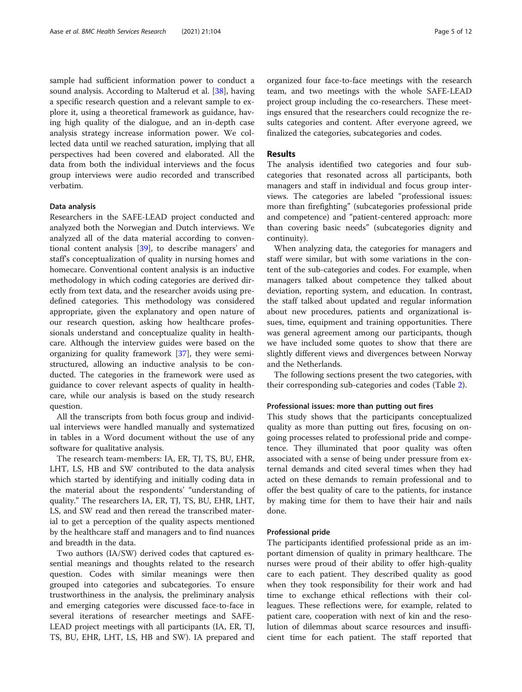sample had sufficient information power to conduct a sound analysis. According to Malterud et al. [\[38](#page-11-0)], having a specific research question and a relevant sample to explore it, using a theoretical framework as guidance, having high quality of the dialogue, and an in-depth case analysis strategy increase information power. We collected data until we reached saturation, implying that all perspectives had been covered and elaborated. All the data from both the individual interviews and the focus group interviews were audio recorded and transcribed verbatim.

#### Data analysis

Researchers in the SAFE-LEAD project conducted and analyzed both the Norwegian and Dutch interviews. We analyzed all of the data material according to conventional content analysis [\[39](#page-11-0)], to describe managers' and staff's conceptualization of quality in nursing homes and homecare. Conventional content analysis is an inductive methodology in which coding categories are derived directly from text data, and the researcher avoids using predefined categories. This methodology was considered appropriate, given the explanatory and open nature of our research question, asking how healthcare professionals understand and conceptualize quality in healthcare. Although the interview guides were based on the organizing for quality framework [\[37](#page-11-0)], they were semistructured, allowing an inductive analysis to be conducted. The categories in the framework were used as guidance to cover relevant aspects of quality in healthcare, while our analysis is based on the study research question.

All the transcripts from both focus group and individual interviews were handled manually and systematized in tables in a Word document without the use of any software for qualitative analysis.

The research team-members: IA, ER, TJ, TS, BU, EHR, LHT, LS, HB and SW contributed to the data analysis which started by identifying and initially coding data in the material about the respondents' "understanding of quality." The researchers IA, ER, TJ, TS, BU, EHR, LHT, LS, and SW read and then reread the transcribed material to get a perception of the quality aspects mentioned by the healthcare staff and managers and to find nuances and breadth in the data.

Two authors (IA/SW) derived codes that captured essential meanings and thoughts related to the research question. Codes with similar meanings were then grouped into categories and subcategories. To ensure trustworthiness in the analysis, the preliminary analysis and emerging categories were discussed face-to-face in several iterations of researcher meetings and SAFE-LEAD project meetings with all participants (IA, ER, TJ, TS, BU, EHR, LHT, LS, HB and SW). IA prepared and organized four face-to-face meetings with the research team, and two meetings with the whole SAFE-LEAD project group including the co-researchers. These meetings ensured that the researchers could recognize the results categories and content. After everyone agreed, we finalized the categories, subcategories and codes.

## Results

The analysis identified two categories and four subcategories that resonated across all participants, both managers and staff in individual and focus group interviews. The categories are labeled "professional issues: more than firefighting" (subcategories professional pride and competence) and "patient-centered approach: more than covering basic needs" (subcategories dignity and continuity).

When analyzing data, the categories for managers and staff were similar, but with some variations in the content of the sub-categories and codes. For example, when managers talked about competence they talked about deviation, reporting system, and education. In contrast, the staff talked about updated and regular information about new procedures, patients and organizational issues, time, equipment and training opportunities. There was general agreement among our participants, though we have included some quotes to show that there are slightly different views and divergences between Norway and the Netherlands.

The following sections present the two categories, with their corresponding sub-categories and codes (Table [2\)](#page-5-0).

## Professional issues: more than putting out fires

This study shows that the participants conceptualized quality as more than putting out fires, focusing on ongoing processes related to professional pride and competence. They illuminated that poor quality was often associated with a sense of being under pressure from external demands and cited several times when they had acted on these demands to remain professional and to offer the best quality of care to the patients, for instance by making time for them to have their hair and nails done.

#### Professional pride

The participants identified professional pride as an important dimension of quality in primary healthcare. The nurses were proud of their ability to offer high-quality care to each patient. They described quality as good when they took responsibility for their work and had time to exchange ethical reflections with their colleagues. These reflections were, for example, related to patient care, cooperation with next of kin and the resolution of dilemmas about scarce resources and insufficient time for each patient. The staff reported that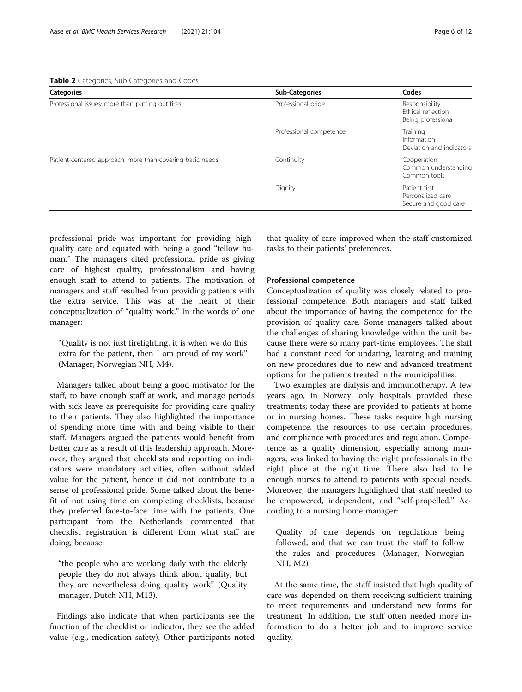<span id="page-5-0"></span>

|  |  | Table 2 Categories, Sub-Categories and Codes |  |  |
|--|--|----------------------------------------------|--|--|
|--|--|----------------------------------------------|--|--|

| <b>Categories</b>                                         | <b>Sub-Categories</b>   | Codes                                                      |  |
|-----------------------------------------------------------|-------------------------|------------------------------------------------------------|--|
| Professional issues: more than putting out fires          | Professional pride      | Responsibility<br>Ethical reflection<br>Being professional |  |
|                                                           | Professional competence | Training<br>Information<br>Deviation and indicators        |  |
| Patient-centered approach: more than covering basic needs | Continuity              | Cooperation<br>Common understanding<br>Common tools        |  |
|                                                           | Dignity                 | Patient first<br>Personalized care<br>Secure and good care |  |

professional pride was important for providing highquality care and equated with being a good "fellow human." The managers cited professional pride as giving care of highest quality, professionalism and having enough staff to attend to patients. The motivation of managers and staff resulted from providing patients with the extra service. This was at the heart of their conceptualization of "quality work." In the words of one manager:

"Quality is not just firefighting, it is when we do this extra for the patient, then I am proud of my work" (Manager, Norwegian NH, M4).

Managers talked about being a good motivator for the staff, to have enough staff at work, and manage periods with sick leave as prerequisite for providing care quality to their patients. They also highlighted the importance of spending more time with and being visible to their staff. Managers argued the patients would benefit from better care as a result of this leadership approach. Moreover, they argued that checklists and reporting on indicators were mandatory activities, often without added value for the patient, hence it did not contribute to a sense of professional pride. Some talked about the benefit of not using time on completing checklists, because they preferred face-to-face time with the patients. One participant from the Netherlands commented that checklist registration is different from what staff are doing, because:

"the people who are working daily with the elderly people they do not always think about quality, but they are nevertheless doing quality work" (Quality manager, Dutch NH, M13).

Findings also indicate that when participants see the function of the checklist or indicator, they see the added value (e.g., medication safety). Other participants noted that quality of care improved when the staff customized tasks to their patients' preferences.

## Professional competence

Conceptualization of quality was closely related to professional competence. Both managers and staff talked about the importance of having the competence for the provision of quality care. Some managers talked about the challenges of sharing knowledge within the unit because there were so many part-time employees. The staff had a constant need for updating, learning and training on new procedures due to new and advanced treatment options for the patients treated in the municipalities.

Two examples are dialysis and immunotherapy. A few years ago, in Norway, only hospitals provided these treatments; today these are provided to patients at home or in nursing homes. These tasks require high nursing competence, the resources to use certain procedures, and compliance with procedures and regulation. Competence as a quality dimension, especially among managers, was linked to having the right professionals in the right place at the right time. There also had to be enough nurses to attend to patients with special needs. Moreover, the managers highlighted that staff needed to be empowered, independent, and "self-propelled." According to a nursing home manager:

Quality of care depends on regulations being followed, and that we can trust the staff to follow the rules and procedures. (Manager, Norwegian NH, M2)

At the same time, the staff insisted that high quality of care was depended on them receiving sufficient training to meet requirements and understand new forms for treatment. In addition, the staff often needed more information to do a better job and to improve service quality.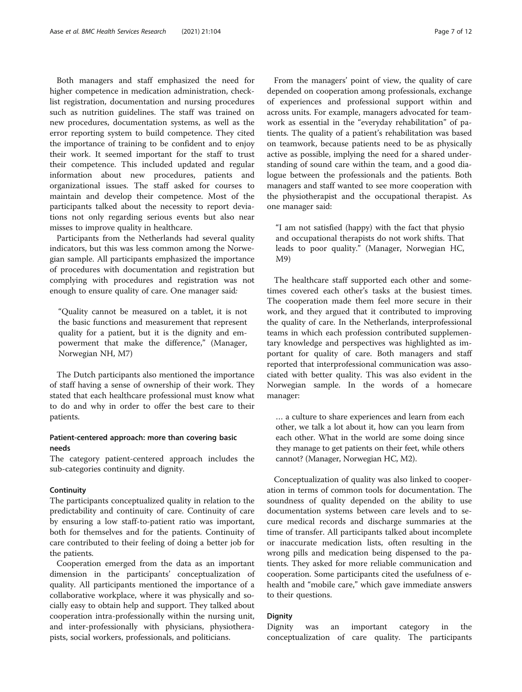Both managers and staff emphasized the need for higher competence in medication administration, checklist registration, documentation and nursing procedures such as nutrition guidelines. The staff was trained on new procedures, documentation systems, as well as the error reporting system to build competence. They cited the importance of training to be confident and to enjoy their work. It seemed important for the staff to trust their competence. This included updated and regular information about new procedures, patients and organizational issues. The staff asked for courses to maintain and develop their competence. Most of the participants talked about the necessity to report deviations not only regarding serious events but also near misses to improve quality in healthcare.

Participants from the Netherlands had several quality indicators, but this was less common among the Norwegian sample. All participants emphasized the importance of procedures with documentation and registration but complying with procedures and registration was not enough to ensure quality of care. One manager said:

"Quality cannot be measured on a tablet, it is not the basic functions and measurement that represent quality for a patient, but it is the dignity and empowerment that make the difference," (Manager, Norwegian NH, M7)

The Dutch participants also mentioned the importance of staff having a sense of ownership of their work. They stated that each healthcare professional must know what to do and why in order to offer the best care to their patients.

## Patient-centered approach: more than covering basic needs

The category patient-centered approach includes the sub-categories continuity and dignity.

## **Continuity**

The participants conceptualized quality in relation to the predictability and continuity of care. Continuity of care by ensuring a low staff-to-patient ratio was important, both for themselves and for the patients. Continuity of care contributed to their feeling of doing a better job for the patients.

Cooperation emerged from the data as an important dimension in the participants' conceptualization of quality. All participants mentioned the importance of a collaborative workplace, where it was physically and socially easy to obtain help and support. They talked about cooperation intra-professionally within the nursing unit, and inter-professionally with physicians, physiotherapists, social workers, professionals, and politicians.

From the managers' point of view, the quality of care depended on cooperation among professionals, exchange of experiences and professional support within and across units. For example, managers advocated for teamwork as essential in the "everyday rehabilitation" of patients. The quality of a patient's rehabilitation was based on teamwork, because patients need to be as physically active as possible, implying the need for a shared understanding of sound care within the team, and a good dialogue between the professionals and the patients. Both managers and staff wanted to see more cooperation with the physiotherapist and the occupational therapist. As one manager said:

"I am not satisfied (happy) with the fact that physio and occupational therapists do not work shifts. That leads to poor quality." (Manager, Norwegian HC, M9)

The healthcare staff supported each other and sometimes covered each other's tasks at the busiest times. The cooperation made them feel more secure in their work, and they argued that it contributed to improving the quality of care. In the Netherlands, interprofessional teams in which each profession contributed supplementary knowledge and perspectives was highlighted as important for quality of care. Both managers and staff reported that interprofessional communication was associated with better quality. This was also evident in the Norwegian sample. In the words of a homecare manager:

… a culture to share experiences and learn from each other, we talk a lot about it, how can you learn from each other. What in the world are some doing since they manage to get patients on their feet, while others cannot? (Manager, Norwegian HC, M2).

Conceptualization of quality was also linked to cooperation in terms of common tools for documentation. The soundness of quality depended on the ability to use documentation systems between care levels and to secure medical records and discharge summaries at the time of transfer. All participants talked about incomplete or inaccurate medication lists, often resulting in the wrong pills and medication being dispensed to the patients. They asked for more reliable communication and cooperation. Some participants cited the usefulness of ehealth and "mobile care," which gave immediate answers to their questions.

## Dignity

Dignity was an important category in the conceptualization of care quality. The participants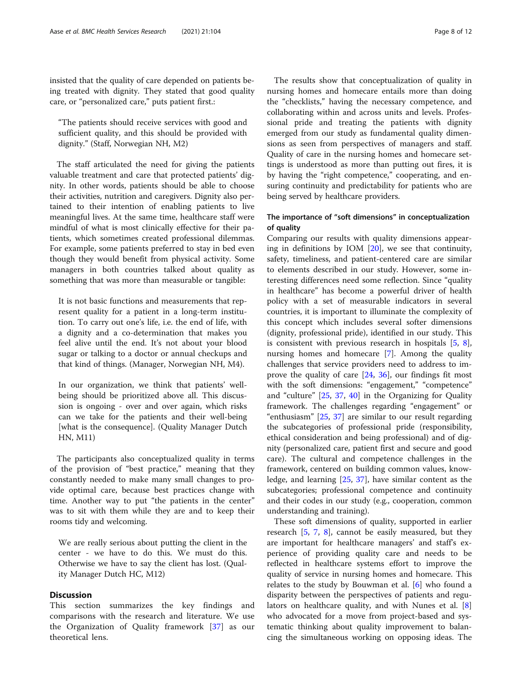insisted that the quality of care depended on patients being treated with dignity. They stated that good quality care, or "personalized care," puts patient first.:

"The patients should receive services with good and sufficient quality, and this should be provided with dignity." (Staff, Norwegian NH, M2)

The staff articulated the need for giving the patients valuable treatment and care that protected patients' dignity. In other words, patients should be able to choose their activities, nutrition and caregivers. Dignity also pertained to their intention of enabling patients to live meaningful lives. At the same time, healthcare staff were mindful of what is most clinically effective for their patients, which sometimes created professional dilemmas. For example, some patients preferred to stay in bed even though they would benefit from physical activity. Some managers in both countries talked about quality as something that was more than measurable or tangible:

It is not basic functions and measurements that represent quality for a patient in a long-term institution. To carry out one's life, i.e. the end of life, with a dignity and a co-determination that makes you feel alive until the end. It's not about your blood sugar or talking to a doctor or annual checkups and that kind of things. (Manager, Norwegian NH, M4).

In our organization, we think that patients' wellbeing should be prioritized above all. This discussion is ongoing - over and over again, which risks can we take for the patients and their well-being [what is the consequence]. (Quality Manager Dutch HN, M11)

The participants also conceptualized quality in terms of the provision of "best practice," meaning that they constantly needed to make many small changes to provide optimal care, because best practices change with time. Another way to put "the patients in the center" was to sit with them while they are and to keep their rooms tidy and welcoming.

We are really serious about putting the client in the center - we have to do this. We must do this. Otherwise we have to say the client has lost. (Quality Manager Dutch HC, M12)

## **Discussion**

This section summarizes the key findings and comparisons with the research and literature. We use the Organization of Quality framework [\[37](#page-11-0)] as our theoretical lens.

The results show that conceptualization of quality in nursing homes and homecare entails more than doing the "checklists," having the necessary competence, and collaborating within and across units and levels. Professional pride and treating the patients with dignity emerged from our study as fundamental quality dimensions as seen from perspectives of managers and staff. Quality of care in the nursing homes and homecare settings is understood as more than putting out fires, it is by having the "right competence," cooperating, and ensuring continuity and predictability for patients who are being served by healthcare providers.

## The importance of "soft dimensions" in conceptualization of quality

Comparing our results with quality dimensions appearing in definitions by IOM [[20\]](#page-10-0), we see that continuity, safety, timeliness, and patient-centered care are similar to elements described in our study. However, some interesting differences need some reflection. Since "quality in healthcare" has become a powerful driver of health policy with a set of measurable indicators in several countries, it is important to illuminate the complexity of this concept which includes several softer dimensions (dignity, professional pride), identified in our study. This is consistent with previous research in hospitals [[5,](#page-10-0) [8](#page-10-0)], nursing homes and homecare [[7\]](#page-10-0). Among the quality challenges that service providers need to address to improve the quality of care  $[24, 36]$  $[24, 36]$  $[24, 36]$ , our findings fit most with the soft dimensions: "engagement," "competence" and "culture" [[25](#page-10-0), [37](#page-11-0), [40](#page-11-0)] in the Organizing for Quality framework. The challenges regarding "engagement" or "enthusiasm" [[25,](#page-10-0) [37](#page-11-0)] are similar to our result regarding the subcategories of professional pride (responsibility, ethical consideration and being professional) and of dignity (personalized care, patient first and secure and good care). The cultural and competence challenges in the framework, centered on building common values, knowledge, and learning [[25](#page-10-0), [37](#page-11-0)], have similar content as the subcategories; professional competence and continuity and their codes in our study (e.g., cooperation, common understanding and training).

These soft dimensions of quality, supported in earlier research [\[5](#page-10-0), [7,](#page-10-0) [8](#page-10-0)], cannot be easily measured, but they are important for healthcare managers' and staff's experience of providing quality care and needs to be reflected in healthcare systems effort to improve the quality of service in nursing homes and homecare. This relates to the study by Bouwman et al. [[6\]](#page-10-0) who found a disparity between the perspectives of patients and regulators on healthcare quality, and with Nunes et al. [\[8](#page-10-0)] who advocated for a move from project-based and systematic thinking about quality improvement to balancing the simultaneous working on opposing ideas. The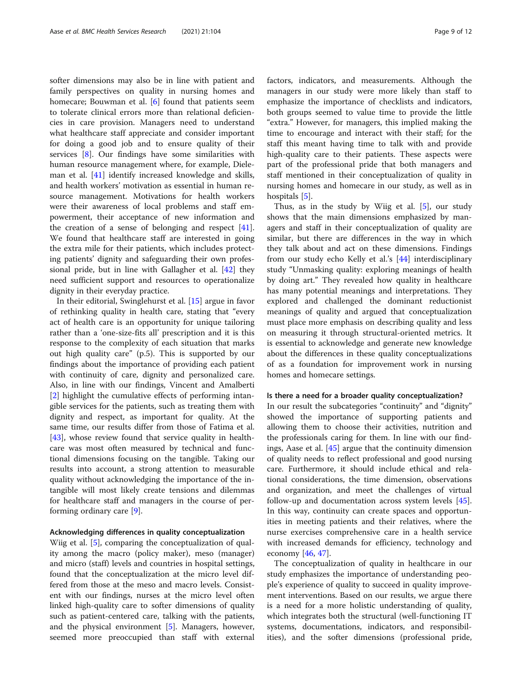softer dimensions may also be in line with patient and family perspectives on quality in nursing homes and homecare; Bouwman et al. [[6\]](#page-10-0) found that patients seem to tolerate clinical errors more than relational deficiencies in care provision. Managers need to understand what healthcare staff appreciate and consider important for doing a good job and to ensure quality of their services [[8\]](#page-10-0). Our findings have some similarities with human resource management where, for example, Dieleman et al. [\[41\]](#page-11-0) identify increased knowledge and skills, and health workers' motivation as essential in human resource management. Motivations for health workers were their awareness of local problems and staff empowerment, their acceptance of new information and the creation of a sense of belonging and respect [\[41](#page-11-0)]. We found that healthcare staff are interested in going the extra mile for their patients, which includes protecting patients' dignity and safeguarding their own professional pride, but in line with Gallagher et al. [[42\]](#page-11-0) they need sufficient support and resources to operationalize dignity in their everyday practice.

In their editorial, Swinglehurst et al. [[15\]](#page-10-0) argue in favor of rethinking quality in health care, stating that "every act of health care is an opportunity for unique tailoring rather than a 'one-size-fits all' prescription and it is this response to the complexity of each situation that marks out high quality care" (p.5). This is supported by our findings about the importance of providing each patient with continuity of care, dignity and personalized care. Also, in line with our findings, Vincent and Amalberti [[2\]](#page-10-0) highlight the cumulative effects of performing intangible services for the patients, such as treating them with dignity and respect, as important for quality. At the same time, our results differ from those of Fatima et al. [[43\]](#page-11-0), whose review found that service quality in healthcare was most often measured by technical and functional dimensions focusing on the tangible. Taking our results into account, a strong attention to measurable quality without acknowledging the importance of the intangible will most likely create tensions and dilemmas for healthcare staff and managers in the course of performing ordinary care [[9](#page-10-0)].

#### Acknowledging differences in quality conceptualization

Wiig et al. [\[5](#page-10-0)], comparing the conceptualization of quality among the macro (policy maker), meso (manager) and micro (staff) levels and countries in hospital settings, found that the conceptualization at the micro level differed from those at the meso and macro levels. Consistent with our findings, nurses at the micro level often linked high-quality care to softer dimensions of quality such as patient-centered care, talking with the patients, and the physical environment [\[5](#page-10-0)]. Managers, however, seemed more preoccupied than staff with external factors, indicators, and measurements. Although the managers in our study were more likely than staff to emphasize the importance of checklists and indicators, both groups seemed to value time to provide the little "extra." However, for managers, this implied making the time to encourage and interact with their staff; for the staff this meant having time to talk with and provide high-quality care to their patients. These aspects were part of the professional pride that both managers and staff mentioned in their conceptualization of quality in nursing homes and homecare in our study, as well as in hospitals [[5\]](#page-10-0).

Thus, as in the study by Wiig et al. [\[5\]](#page-10-0), our study shows that the main dimensions emphasized by managers and staff in their conceptualization of quality are similar, but there are differences in the way in which they talk about and act on these dimensions. Findings from our study echo Kelly et al.'s [\[44](#page-11-0)] interdisciplinary study "Unmasking quality: exploring meanings of health by doing art." They revealed how quality in healthcare has many potential meanings and interpretations. They explored and challenged the dominant reductionist meanings of quality and argued that conceptualization must place more emphasis on describing quality and less on measuring it through structural-oriented metrics. It is essential to acknowledge and generate new knowledge about the differences in these quality conceptualizations of as a foundation for improvement work in nursing homes and homecare settings.

## Is there a need for a broader quality conceptualization?

In our result the subcategories "continuity" and "dignity" showed the importance of supporting patients and allowing them to choose their activities, nutrition and the professionals caring for them. In line with our findings, Aase et al. [[45\]](#page-11-0) argue that the continuity dimension of quality needs to reflect professional and good nursing care. Furthermore, it should include ethical and relational considerations, the time dimension, observations and organization, and meet the challenges of virtual follow-up and documentation across system levels [\[45](#page-11-0)]. In this way, continuity can create spaces and opportunities in meeting patients and their relatives, where the nurse exercises comprehensive care in a health service with increased demands for efficiency, technology and economy  $[46, 47]$  $[46, 47]$  $[46, 47]$  $[46, 47]$ .

The conceptualization of quality in healthcare in our study emphasizes the importance of understanding people's experience of quality to succeed in quality improvement interventions. Based on our results, we argue there is a need for a more holistic understanding of quality, which integrates both the structural (well-functioning IT systems, documentations, indicators, and responsibilities), and the softer dimensions (professional pride,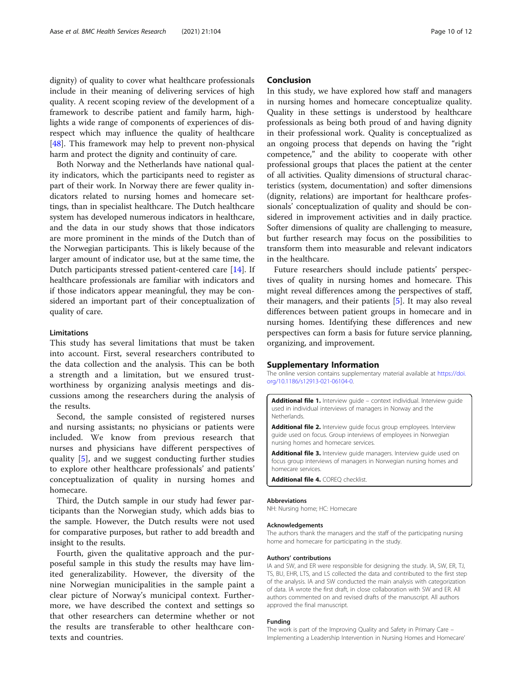<span id="page-9-0"></span>dignity) of quality to cover what healthcare professionals include in their meaning of delivering services of high quality. A recent scoping review of the development of a framework to describe patient and family harm, highlights a wide range of components of experiences of disrespect which may influence the quality of healthcare [[48\]](#page-11-0). This framework may help to prevent non-physical harm and protect the dignity and continuity of care.

Both Norway and the Netherlands have national quality indicators, which the participants need to register as part of their work. In Norway there are fewer quality indicators related to nursing homes and homecare settings, than in specialist healthcare. The Dutch healthcare system has developed numerous indicators in healthcare, and the data in our study shows that those indicators are more prominent in the minds of the Dutch than of the Norwegian participants. This is likely because of the larger amount of indicator use, but at the same time, the Dutch participants stressed patient-centered care [[14\]](#page-10-0). If healthcare professionals are familiar with indicators and if those indicators appear meaningful, they may be considered an important part of their conceptualization of quality of care.

## Limitations

This study has several limitations that must be taken into account. First, several researchers contributed to the data collection and the analysis. This can be both a strength and a limitation, but we ensured trustworthiness by organizing analysis meetings and discussions among the researchers during the analysis of the results.

Second, the sample consisted of registered nurses and nursing assistants; no physicians or patients were included. We know from previous research that nurses and physicians have different perspectives of quality [[5\]](#page-10-0), and we suggest conducting further studies to explore other healthcare professionals' and patients' conceptualization of quality in nursing homes and homecare.

Third, the Dutch sample in our study had fewer participants than the Norwegian study, which adds bias to the sample. However, the Dutch results were not used for comparative purposes, but rather to add breadth and insight to the results.

Fourth, given the qualitative approach and the purposeful sample in this study the results may have limited generalizability. However, the diversity of the nine Norwegian municipalities in the sample paint a clear picture of Norway's municipal context. Furthermore, we have described the context and settings so that other researchers can determine whether or not the results are transferable to other healthcare contexts and countries.

## Conclusion

In this study, we have explored how staff and managers in nursing homes and homecare conceptualize quality. Quality in these settings is understood by healthcare professionals as being both proud of and having dignity in their professional work. Quality is conceptualized as an ongoing process that depends on having the "right competence," and the ability to cooperate with other professional groups that places the patient at the center of all activities. Quality dimensions of structural characteristics (system, documentation) and softer dimensions (dignity, relations) are important for healthcare professionals' conceptualization of quality and should be considered in improvement activities and in daily practice. Softer dimensions of quality are challenging to measure, but further research may focus on the possibilities to transform them into measurable and relevant indicators in the healthcare.

Future researchers should include patients' perspectives of quality in nursing homes and homecare. This might reveal differences among the perspectives of staff, their managers, and their patients [[5](#page-10-0)]. It may also reveal differences between patient groups in homecare and in nursing homes. Identifying these differences and new perspectives can form a basis for future service planning, organizing, and improvement.

#### Supplementary Information

The online version contains supplementary material available at [https://doi.](https://doi.org/10.1186/s12913-021-06104-0) [org/10.1186/s12913-021-06104-0.](https://doi.org/10.1186/s12913-021-06104-0)

Additional file 1. Interview guide - context individual. Interview guide used in individual interviews of managers in Norway and the Netherlands.

Additional file 2. Interview quide focus group employees. Interview guide used on focus. Group interviews of employees in Norwegian nursing homes and homecare services.

Additional file 3. Interview guide managers. Interview guide used on focus group interviews of managers in Norwegian nursing homes and homecare services.

Additional file 4. COREQ checklist.

## Abbreviations

NH: Nursing home; HC: Homecare

#### Acknowledgements

The authors thank the managers and the staff of the participating nursing home and homecare for participating in the study.

#### Authors' contributions

IA and SW, and ER were responsible for designing the study. IA, SW, ER, TJ, TS, BU, EHR, LTS, and LS collected the data and contributed to the first step of the analysis. IA and SW conducted the main analysis with categorization of data. IA wrote the first draft, in close collaboration with SW and ER. All authors commented on and revised drafts of the manuscript. All authors approved the final manuscript.

#### Funding

The work is part of the Improving Quality and Safety in Primary Care – Implementing a Leadership Intervention in Nursing Homes and Homecare'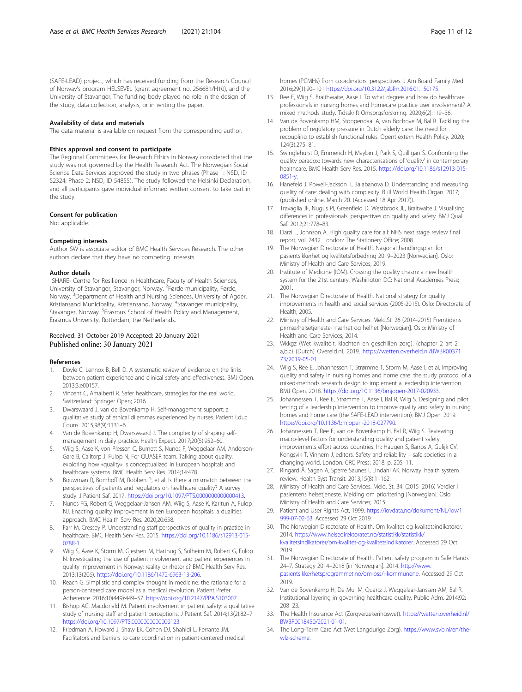<span id="page-10-0"></span>(SAFE-LEAD) project, which has received funding from the Research Council of Norway's program HELSEVEL (grant agreement no. 256681/H10), and the University of Stavanger. The funding body played no role in the design of the study, data collection, analysis, or in writing the paper.

#### Availability of data and materials

The data material is available on request from the corresponding author.

#### Ethics approval and consent to participate

The Regional Committees for Research Ethics in Norway considered that the study was not governed by the Health Research Act. The Norwegian Social Science Data Services approved the study in two phases (Phase 1: NSD, ID 52324; Phase 2: NSD, ID 54855). The study followed the Helsinki Declaration, and all participants gave individual informed written consent to take part in the study.

## Consent for publication

Not applicable.

#### Competing interests

Author SW is associate editor of BMC Health Services Research. The other authors declare that they have no competing interests.

#### Author details

<sup>1</sup>SHARE- Centre for Resilience in Healthcare, Faculty of Health Sciences, University of Stavanger, Stavanger, Norway. <sup>2</sup>Førde municipality, Førde, Norway. <sup>3</sup>Department of Health and Nursing Sciences, University of Agder, Kristiansand Municipality, Kristiansand, Norway. <sup>4</sup>Stavanger municipality, Stavanger, Norway. <sup>5</sup> Erasmus School of Health Policy and Management, Erasmus University, Rotterdam, the Netherlands.

## Received: 31 October 2019 Accepted: 20 January 2021 Published online: 30 January 2021

#### References

- 1. Doyle C, Lennox B, Bell D. A systematic review of evidence on the links between patient experience and clinical safety and effectiveness. BMJ Open. 2013;3:e00157.
- 2. Vincent C, Amalberti R. Safer healthcare, strategies for the real world. Switzerland: Springer Open; 2016.
- 3. Dwarswaard J, van de Bovenkamp H. Self-management support: a qualitative study of ethical dilemmas experienced by nurses. Patient Educ Couns. 2015;98(9):1131–6.
- 4. Van de Bovenkamp H, Dwarswaard J. The complexity of shaping selfmanagement in daily practice. Health Expect. 2017;20(5):952–60.
- 5. Wiig S, Aase K, von Plessen C, Burnett S, Nunes F, Weggelaar AM, Anderson-Gare B, Calltorp J, Fulop N, For QUASER team. Talking about quality: exploring how «quality» is conceptualized in European hospitals and healthcare systems. BMC Health Serv Res. 2014;14:478.
- 6. Bouwman R, Bomhoff M, Robben P, et al. Is there a mismatch between the perspectives of patients and regulators on healthcare quality? A survey study. J Patient Saf. 2017. [https://doi.org/10.1097/PTS.0000000000000413.](https://doi.org/10.1097/PTS.0000000000000413)
- 7. Nunes FG, Robert G, Weggelaar-Jansen AM, Wiig S, Aase K, Karltun A, Fulop NJ. Enacting quality improvement in ten European hospitals: a dualities approach. BMC Health Serv Res. 2020;20:658.
- 8. Farr M, Cressey P. Understanding staff perspectives of quality in practice in healthcare. BMC Health Serv Res. 2015. [https://doi.org/10.1186/s12913-015-](https://doi.org/10.1186/s12913-015-0788-1) [0788-1.](https://doi.org/10.1186/s12913-015-0788-1)
- 9. Wiig S, Aase K, Storm M, Gjestsen M, Harthug S, Solheim M, Robert G, Fulop N. Investigating the use of patient involvement and patient experiences in quality improvement in Norway: reality or rhetoric? BMC Health Serv Res. 2013;13(206). <https://doi.org/10.1186/1472-6963-13-206>.
- 10. Reach G. Simplistic and complex thought in medicine: the rationale for a person-centered care model as a medical revolution. Patient Prefer Adherence. 2016;10(449):449–57. <https://doi.org/10.2147/PPA.S103007>.
- 11. Bishop AC, Macdonald M. Patient involvement in patient safety: a qualitative study of nursing staff and patient perceptions. J Patient Saf. 2014;13(2):82–7 [https://doi.org/10.1097/PTS.0000000000000123.](https://doi.org/10.1097/PTS.0000000000000123)
- 12. Friedman A, Howard J, Shaw EK, Cohen DJ, Shahidi L, Ferrante JM. Facilitators and barriers to care coordination in patient-centered medical

homes (PCMHs) from coordinators' perspectives. J Am Board Family Med. 2016;29(1):90–101 <https://doi.org/10.3122/jabfm.2016.01.150175>.

- 13. Ree E, Wiig S, Braithwaite, Aase I. To what degree and how do healthcare professionals in nursing homes and homecare practice user involvement? A mixed methods study. Tidsskrift Omsorgsforskning. 2020;6(2):119–36.
- 14. Van de Bovenkamp HM, Stoopendaal A, van Bochove M, Bal R. Tackling the problem of regulatory pressure in Dutch elderly care: the need for recoupling to establish functional rules. Opent extern Health Policy. 2020; 124(3):275–81.
- 15. Swinglehurst D, Emmerich H, Maybin J, Park S, Quilligan S. Confronting the quality paradox: towards new characterisations of 'quality' in contemporary healthcare. BMC Health Serv Res. 2015. [https://doi.org/10.1186/s12913-015-](https://doi.org/10.1186/s12913-015-0851-y) [0851-y.](https://doi.org/10.1186/s12913-015-0851-y)
- 16. Hanefeld J, Powell-Jackson T, Balabanova D. Understanding and measuring quality of care: dealing with complexity. Bull World Health Organ. 2017; (published online, March 20. (Accessed 18 Apr 2017)).
- 17. Travaglia JF, Nugus PI, Greenfield D, Westbrook JL, Braitwaite J. Visualising differences in professionals' perspectives on quality and safety. BMJ Qual Saf. 2012;21:778–83.
- 18. Darzi L, Johnson A. High quality care for all: NHS next stage review final report, vol. 7432. London: The Stationery Office; 2008.
- 19. The Norwegian Directorate of Health. Nasjonal handlingsplan for pasientsikkerhet og kvalitetsforbedring 2019–2023 [Norwegian]. Oslo: Ministry of Health and Care Services; 2019.
- 20. Institute of Medicine (IOM). Crossing the quality chasm: a new health system for the 21st century. Washington DC: National Academies Press; 2001.
- 21. The Norwegian Directorate of Health. National strategy for quality improvements in health and social services (2005-2015). Oslo: Directorate of Health; 2005.
- 22. Ministry of Health and Care Services. Meld.St. 26 (2014-2015) Fremtidens primærhelsetjeneste- nærhet og helhet [Norwegian]. Oslo: Ministry of Health and Care Services; 2014.
- 23. Wkkgz (Wet kwaliteit, klachten en geschillen zorg). (chapter 2 art 2 a,b,c) (Dutch) Overeid.nl. 2019. [https://wetten.overheid.nl/BWBR00371](https://wetten.overheid.nl/BWBR0037173/2019-05-01) [73/2019-05-01.](https://wetten.overheid.nl/BWBR0037173/2019-05-01)
- 24. Wiig S, Ree E, Johannessen T, Strømme T, Storm M, Aase I, et al. Improving quality and safety in nursing homes and home care: the study protocol of a mixed-methods research design to implement a leadership intervention. BMJ Open. 2018. [https://doi.org/10.1136/bmjopen-2017-020933.](https://doi.org/10.1136/bmjopen-2017-020933)
- 25. Johannessen T, Ree E, Strømme T, Aase I, Bal R, Wiig S. Designing and pilot testing of a leadership intervention to improve quality and safety in nursing homes and home care (the SAFE-LEAD intervention). BMJ Open. 2019. <https://doi.org/10.1136/bmjopen-2018-027790>.
- 26. Johannessen T, Ree E, van de Bovenkamp H, Bal R, Wiig S. Reviewing macro-level factors for understanding quality and patient safety improvements effort across countries. In: Haugen S, Barros A, Gulijk CV, Kongsvik T, Vinnem J, editors. Safety and reliability – safe societies in a changing world. London: CRC Press; 2018. p. 205–11.
- 27. Ringard Å, Sagan A, Sperre Saunes I, Lindahl AK. Norway: health system review. Health Syst Transit. 2013;15(8):1–162.
- 28. Ministry of Health and Care Services. Meld. St. 34. (2015–2016) Verdier i pasientens helsetjeneste. Melding om prioritering [Norwegian]. Oslo: Ministry of Health and Care Services; 2015.
- 29. Patient and User Rights Act. 1999. [https://lovdata.no/dokument/NL/lov/1](https://lovdata.no/dokument/NL/lov/1999-07-02-63) [999-07-02-63.](https://lovdata.no/dokument/NL/lov/1999-07-02-63) Accessed 29 Oct 2019.
- 30. The Norwegian Directorate of Health. Om kvalitet og kvalitetsindikatorer. 2014. [https://www.helsedirektoratet.no/statistikk/statistikk/](https://www.helsedirektoratet.no/statistikk/statistikk/kvalitetsindikatorer/om-kvalitet-og-kvalitetsindikatorer) [kvalitetsindikatorer/om-kvalitet-og-kvalitetsindikatorer](https://www.helsedirektoratet.no/statistikk/statistikk/kvalitetsindikatorer/om-kvalitet-og-kvalitetsindikatorer). Accessed 29 Oct 2019.
- 31. The Norwegian Directorate of Health. Patient safety program in Safe Hands 24–7. Strategy 2014–2018 [in Norwegian]. 2014. [http://www.](http://www.pasientsikkerhetsprogrammet.no/om-oss/i-kommunene) [pasientsikkerhetsprogrammet.no/om-oss/i-kommunene.](http://www.pasientsikkerhetsprogrammet.no/om-oss/i-kommunene) Accessed 29 Oct  $2019$
- 32. Van de Bovenkamp H, De Mul M, Quartz J, Weggelaar-Janssen AM, Bal R. Institutional layering in governing healthcare quality. Public Adm. 2014;92: 208–23.
- 33. The Health Insurance Act (Zorgverzekeringswet). [https://wetten.overheid.nl/](https://wetten.overheid.nl/BWBR0018450/2021-01-01) [BWBR0018450/2021-01-01.](https://wetten.overheid.nl/BWBR0018450/2021-01-01)
- 34. The Long-Term Care Act (Wet Langdurige Zorg). [https://www.svb.nl/en/the](https://www.svb.nl/en/the-wlz-scheme)[wlz-scheme](https://www.svb.nl/en/the-wlz-scheme).